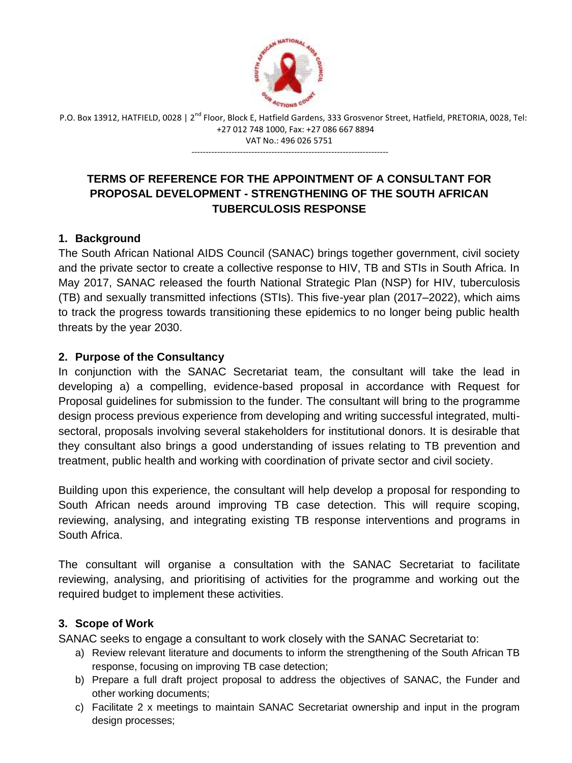

P.O. Box 13912, HATFIELD, 0028 | 2<sup>nd</sup> Floor, Block E, Hatfield Gardens, 333 Grosvenor Street, Hatfield, PRETORIA, 0028, Tel: +27 012 748 1000, Fax: +27 086 667 8894 VAT No.: 496 026 5751

---------------------------------------------------------------------

# **TERMS OF REFERENCE FOR THE APPOINTMENT OF A CONSULTANT FOR PROPOSAL DEVELOPMENT - STRENGTHENING OF THE SOUTH AFRICAN TUBERCULOSIS RESPONSE**

## **1. Background**

The South African National AIDS Council (SANAC) brings together government, civil society and the private sector to create a collective response to HIV, TB and STIs in South Africa. In May 2017, SANAC released the fourth National Strategic Plan (NSP) for HIV, tuberculosis (TB) and sexually transmitted infections (STIs). This five-year plan (2017–2022), which aims to track the progress towards transitioning these epidemics to no longer being public health threats by the year 2030.

## **2. Purpose of the Consultancy**

In conjunction with the SANAC Secretariat team, the consultant will take the lead in developing a) a compelling, evidence-based proposal in accordance with Request for Proposal guidelines for submission to the funder. The consultant will bring to the programme design process previous experience from developing and writing successful integrated, multisectoral, proposals involving several stakeholders for institutional donors. It is desirable that they consultant also brings a good understanding of issues relating to TB prevention and treatment, public health and working with coordination of private sector and civil society.

Building upon this experience, the consultant will help develop a proposal for responding to South African needs around improving TB case detection. This will require scoping, reviewing, analysing, and integrating existing TB response interventions and programs in South Africa.

The consultant will organise a consultation with the SANAC Secretariat to facilitate reviewing, analysing, and prioritising of activities for the programme and working out the required budget to implement these activities.

### **3. Scope of Work**

SANAC seeks to engage a consultant to work closely with the SANAC Secretariat to:

- a) Review relevant literature and documents to inform the strengthening of the South African TB response, focusing on improving TB case detection;
- b) Prepare a full draft project proposal to address the objectives of SANAC, the Funder and other working documents;
- c) Facilitate 2 x meetings to maintain SANAC Secretariat ownership and input in the program design processes;